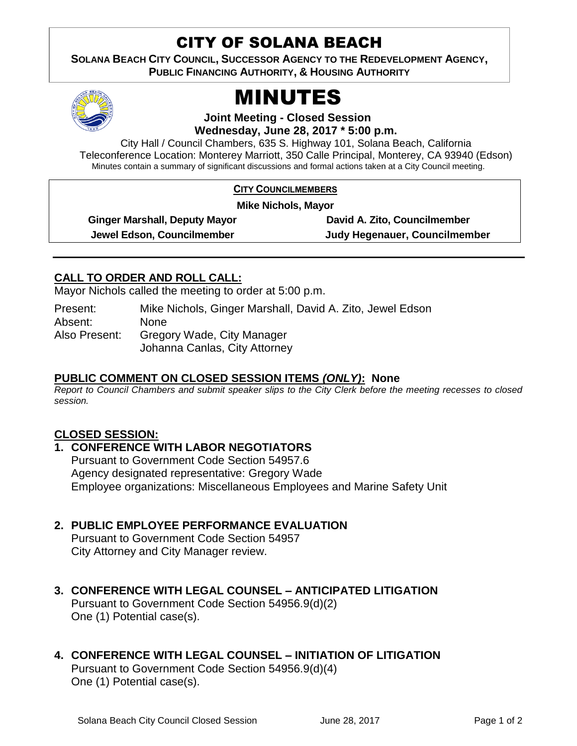# CITY OF SOLANA BEACH

**SOLANA BEACH CITY COUNCIL, SUCCESSOR AGENCY TO THE REDEVELOPMENT AGENCY, PUBLIC FINANCING AUTHORITY, & HOUSING AUTHORITY** 



# MINUTES

**Joint Meeting - Closed Session**

**Wednesday, June 28, 2017 \* 5:00 p.m.**

City Hall / Council Chambers, 635 S. Highway 101, Solana Beach, California Teleconference Location: Monterey Marriott, 350 Calle Principal, Monterey, CA 93940 (Edson) Minutes contain a summary of significant discussions and formal actions taken at a City Council meeting.

#### **CITY COUNCILMEMBERS**

**Mike Nichols, Mayor**

**Ginger Marshall, Deputy Mayor David A. Zito, Councilmember**

**Jewel Edson, Councilmember Judy Hegenauer, Councilmember**

## **CALL TO ORDER AND ROLL CALL:**

Mayor Nichols called the meeting to order at 5:00 p.m.

Present: Mike Nichols, Ginger Marshall, David A. Zito, Jewel Edson Absent: None Also Present: Gregory Wade, City Manager Johanna Canlas, City Attorney

#### **PUBLIC COMMENT ON CLOSED SESSION ITEMS** *(ONLY)***: None**

*Report to Council Chambers and submit speaker slips to the City Clerk before the meeting recesses to closed session.*

#### **CLOSED SESSION:**

**1. CONFERENCE WITH LABOR NEGOTIATORS** Pursuant to Government Code Section 54957.6 Agency designated representative: Gregory Wade Employee organizations: Miscellaneous Employees and Marine Safety Unit

## **2. PUBLIC EMPLOYEE PERFORMANCE EVALUATION**

Pursuant to Government Code Section 54957 City Attorney and City Manager review.

- **3. CONFERENCE WITH LEGAL COUNSEL – ANTICIPATED LITIGATION**  Pursuant to Government Code Section 54956.9(d)(2) One (1) Potential case(s).
- **4. CONFERENCE WITH LEGAL COUNSEL – INITIATION OF LITIGATION**  Pursuant to Government Code Section 54956.9(d)(4)

One (1) Potential case(s).